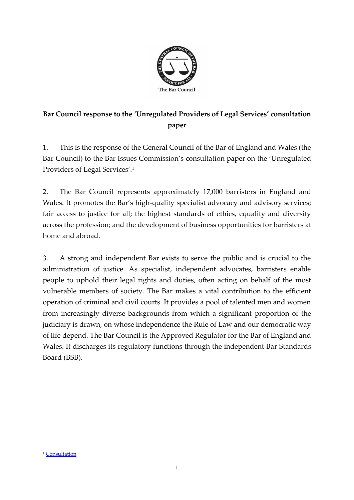

## **Bar Council response to the 'Unregulated Providers of Legal Services' consultation paper**

1. This is the response of the General Council of the Bar of England and Wales (the Bar Council) to the Bar Issues Commission's consultation paper on the 'Unregulated Providers of Legal Services'. 1

2. The Bar Council represents approximately 17,000 barristers in England and Wales. It promotes the Bar's high-quality specialist advocacy and advisory services; fair access to justice for all; the highest standards of ethics, equality and diversity across the profession; and the development of business opportunities for barristers at home and abroad.

3. A strong and independent Bar exists to serve the public and is crucial to the administration of justice. As specialist, independent advocates, barristers enable people to uphold their legal rights and duties, often acting on behalf of the most vulnerable members of society. The Bar makes a vital contribution to the efficient operation of criminal and civil courts. It provides a pool of talented men and women from increasingly diverse backgrounds from which a significant proportion of the judiciary is drawn, on whose independence the Rule of Law and our democratic way of life depend. The Bar Council is the Approved Regulator for the Bar of England and Wales. It discharges its regulatory functions through the independent Bar Standards Board (BSB).

<sup>&</sup>lt;sup>1</sup> [Consultation](file:///C:/Users/EHughes/Downloads/Unregulated.providers.of.legal.services.consultation%20(5).pdf)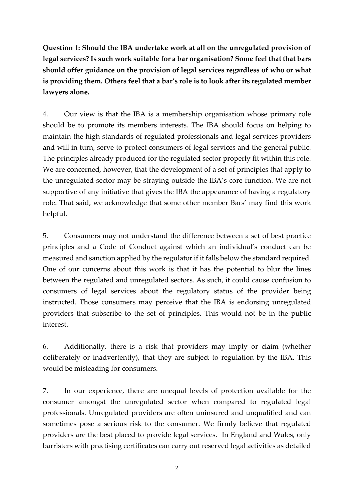**Question 1: Should the IBA undertake work at all on the unregulated provision of legal services? Is such work suitable for a bar organisation? Some feel that that bars should offer guidance on the provision of legal services regardless of who or what is providing them. Others feel that a bar's role is to look after its regulated member lawyers alone.** 

4. Our view is that the IBA is a membership organisation whose primary role should be to promote its members interests. The IBA should focus on helping to maintain the high standards of regulated professionals and legal services providers and will in turn, serve to protect consumers of legal services and the general public. The principles already produced for the regulated sector properly fit within this role. We are concerned, however, that the development of a set of principles that apply to the unregulated sector may be straying outside the IBA's core function. We are not supportive of any initiative that gives the IBA the appearance of having a regulatory role. That said, we acknowledge that some other member Bars' may find this work helpful.

5. Consumers may not understand the difference between a set of best practice principles and a Code of Conduct against which an individual's conduct can be measured and sanction applied by the regulator if it falls below the standard required. One of our concerns about this work is that it has the potential to blur the lines between the regulated and unregulated sectors. As such, it could cause confusion to consumers of legal services about the regulatory status of the provider being instructed. Those consumers may perceive that the IBA is endorsing unregulated providers that subscribe to the set of principles. This would not be in the public interest.

6. Additionally, there is a risk that providers may imply or claim (whether deliberately or inadvertently), that they are subject to regulation by the IBA. This would be misleading for consumers.

7. In our experience, there are unequal levels of protection available for the consumer amongst the unregulated sector when compared to regulated legal professionals. Unregulated providers are often uninsured and unqualified and can sometimes pose a serious risk to the consumer. We firmly believe that regulated providers are the best placed to provide legal services. In England and Wales, only barristers with practising certificates can carry out reserved legal activities as detailed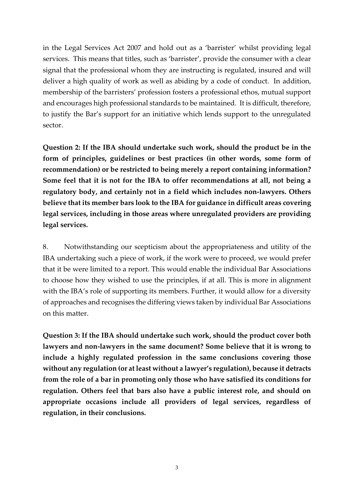in the Legal Services Act 2007 and hold out as a 'barrister' whilst providing legal services. This means that titles, such as 'barrister', provide the consumer with a clear signal that the professional whom they are instructing is regulated, insured and will deliver a high quality of work as well as abiding by a code of conduct. In addition, membership of the barristers' profession fosters a professional ethos, mutual support and encourages high professional standards to be maintained. It is difficult, therefore, to justify the Bar's support for an initiative which lends support to the unregulated sector.

**Question 2: If the IBA should undertake such work, should the product be in the form of principles, guidelines or best practices (in other words, some form of recommendation) or be restricted to being merely a report containing information? Some feel that it is not for the IBA to offer recommendations at all, not being a regulatory body, and certainly not in a field which includes non-lawyers. Others believe that its member bars look to the IBA for guidance in difficult areas covering legal services, including in those areas where unregulated providers are providing legal services.** 

8. Notwithstanding our scepticism about the appropriateness and utility of the IBA undertaking such a piece of work, if the work were to proceed, we would prefer that it be were limited to a report. This would enable the individual Bar Associations to choose how they wished to use the principles, if at all. This is more in alignment with the IBA's role of supporting its members. Further, it would allow for a diversity of approaches and recognises the differing views taken by individual Bar Associations on this matter.

**Question 3: If the IBA should undertake such work, should the product cover both lawyers and non-lawyers in the same document? Some believe that it is wrong to include a highly regulated profession in the same conclusions covering those without any regulation (or at least without a lawyer's regulation), because it detracts from the role of a bar in promoting only those who have satisfied its conditions for regulation. Others feel that bars also have a public interest role, and should on appropriate occasions include all providers of legal services, regardless of regulation, in their conclusions.**